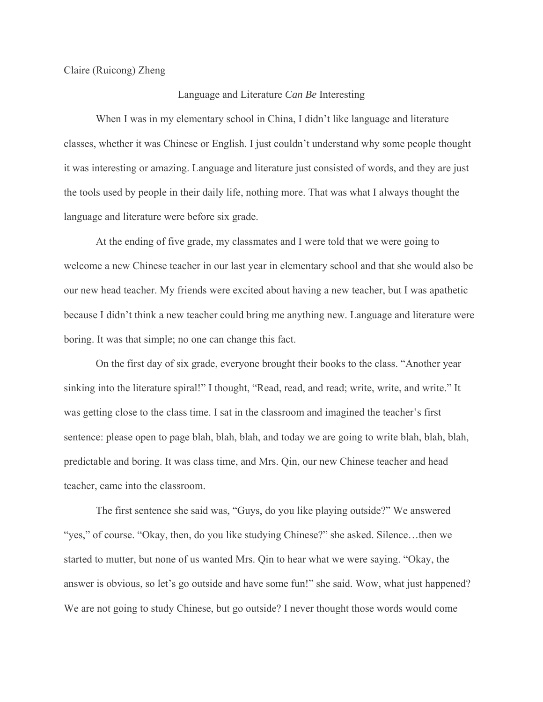Claire (Ruicong) Zheng

## Language and Literature *Can Be* Interesting

When I was in my elementary school in China, I didn't like language and literature classes, whether it was Chinese or English. I just couldn't understand why some people thought it was interesting or amazing. Language and literature just consisted of words, and they are just the tools used by people in their daily life, nothing more. That was what I always thought the language and literature were before six grade.

At the ending of five grade, my classmates and I were told that we were going to welcome a new Chinese teacher in our last year in elementary school and that she would also be our new head teacher. My friends were excited about having a new teacher, but I was apathetic because I didn't think a new teacher could bring me anything new. Language and literature were boring. It was that simple; no one can change this fact.

On the first day of six grade, everyone brought their books to the class. "Another year sinking into the literature spiral!" I thought, "Read, read, and read; write, write, and write." It was getting close to the class time. I sat in the classroom and imagined the teacher's first sentence: please open to page blah, blah, blah, and today we are going to write blah, blah, blah, predictable and boring. It was class time, and Mrs. Qin, our new Chinese teacher and head teacher, came into the classroom.

The first sentence she said was, "Guys, do you like playing outside?" We answered "yes," of course. "Okay, then, do you like studying Chinese?" she asked. Silence…then we started to mutter, but none of us wanted Mrs. Qin to hear what we were saying. "Okay, the answer is obvious, so let's go outside and have some fun!" she said. Wow, what just happened? We are not going to study Chinese, but go outside? I never thought those words would come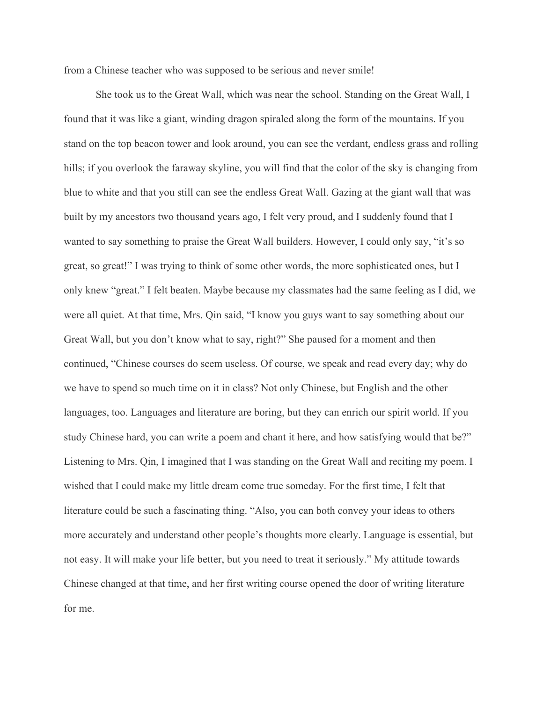from a Chinese teacher who was supposed to be serious and never smile!

She took us to the Great Wall, which was near the school. Standing on the Great Wall, I found that it was like a giant, winding dragon spiraled along the form of the mountains. If you stand on the top beacon tower and look around, you can see the verdant, endless grass and rolling hills; if you overlook the faraway skyline, you will find that the color of the sky is changing from blue to white and that you still can see the endless Great Wall. Gazing at the giant wall that was built by my ancestors two thousand years ago, I felt very proud, and I suddenly found that I wanted to say something to praise the Great Wall builders. However, I could only say, "it's so great, so great!" I was trying to think of some other words, the more sophisticated ones, but I only knew "great." I felt beaten. Maybe because my classmates had the same feeling as I did, we were all quiet. At that time, Mrs. Qin said, "I know you guys want to say something about our Great Wall, but you don't know what to say, right?" She paused for a moment and then continued, "Chinese courses do seem useless. Of course, we speak and read every day; why do we have to spend so much time on it in class? Not only Chinese, but English and the other languages, too. Languages and literature are boring, but they can enrich our spirit world. If you study Chinese hard, you can write a poem and chant it here, and how satisfying would that be?" Listening to Mrs. Qin, I imagined that I was standing on the Great Wall and reciting my poem. I wished that I could make my little dream come true someday. For the first time, I felt that literature could be such a fascinating thing. "Also, you can both convey your ideas to others more accurately and understand other people's thoughts more clearly. Language is essential, but not easy. It will make your life better, but you need to treat it seriously." My attitude towards Chinese changed at that time, and her first writing course opened the door of writing literature for me.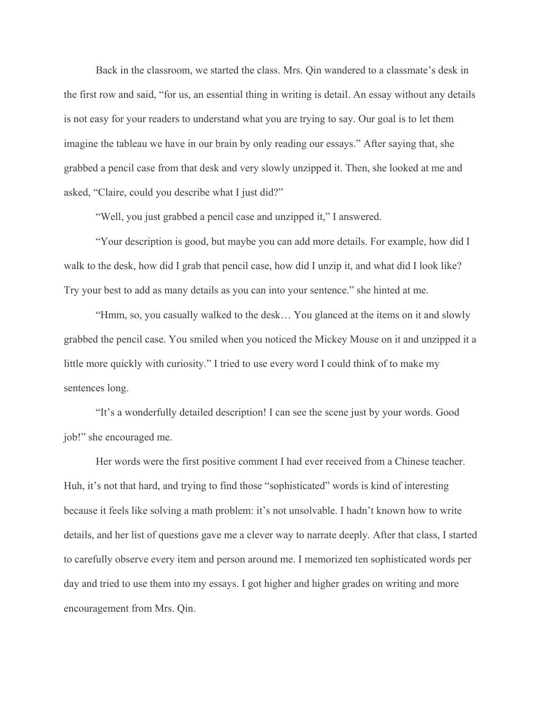Back in the classroom, we started the class. Mrs. Qin wandered to a classmate's desk in the first row and said, "for us, an essential thing in writing is detail. An essay without any details is not easy for your readers to understand what you are trying to say. Our goal is to let them imagine the tableau we have in our brain by only reading our essays." After saying that, she grabbed a pencil case from that desk and very slowly unzipped it. Then, she looked at me and asked, "Claire, could you describe what I just did?"

"Well, you just grabbed a pencil case and unzipped it," I answered.

"Your description is good, but maybe you can add more details. For example, how did I walk to the desk, how did I grab that pencil case, how did I unzip it, and what did I look like? Try your best to add as many details as you can into your sentence." she hinted at me.

"Hmm, so, you casually walked to the desk… You glanced at the items on it and slowly grabbed the pencil case. You smiled when you noticed the Mickey Mouse on it and unzipped it a little more quickly with curiosity." I tried to use every word I could think of to make my sentences long.

"It's a wonderfully detailed description! I can see the scene just by your words. Good job!" she encouraged me.

Her words were the first positive comment I had ever received from a Chinese teacher. Huh, it's not that hard, and trying to find those "sophisticated" words is kind of interesting because it feels like solving a math problem: it's not unsolvable. I hadn't known how to write details, and her list of questions gave me a clever way to narrate deeply. After that class, I started to carefully observe every item and person around me. I memorized ten sophisticated words per day and tried to use them into my essays. I got higher and higher grades on writing and more encouragement from Mrs. Qin.